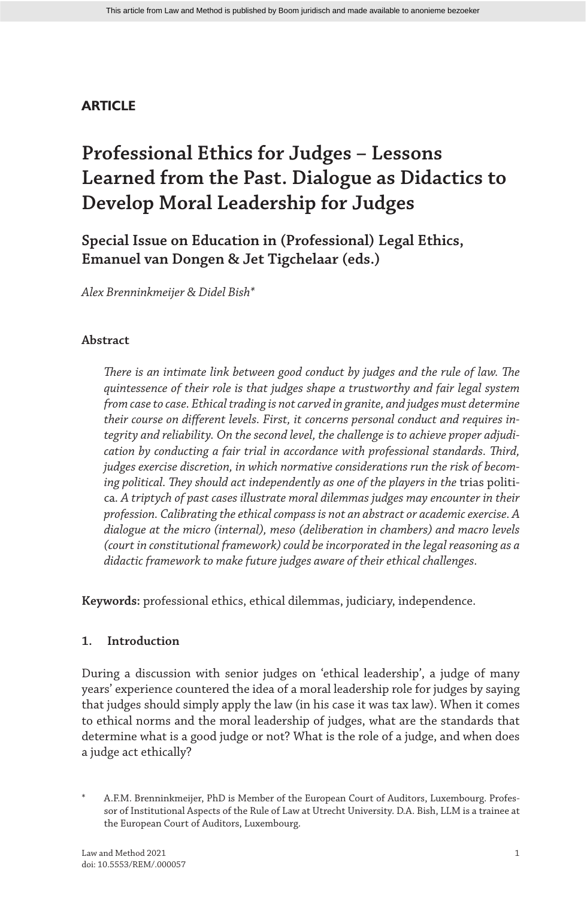## **ARTICLE**

# **Professional Ethics for Judges – Lessons Learned from the Past. Dialogue as Didactics to Develop Moral Leadership for Judges**

**Special Issue on Education in (Professional) Legal Ethics, Emanuel van Dongen & Jet Tigchelaar (eds.)**

*Alex Brenninkmeijer & Didel Bish\**

## **Abstract**

*There is an intimate link between good conduct by judges and the rule of law. The quintessence of their role is that judges shape a trustworthy and fair legal system from case to case. Ethical trading is not carved in granite, and judges must determine their course on different levels. First, it concerns personal conduct and requires integrity and reliability. On the second level, the challenge is to achieve proper adjudication by conducting a fair trial in accordance with professional standards. Third, judges exercise discretion, in which normative considerations run the risk of becom*ing political. They should act independently as one of the players in the trias politica*. A triptych of past cases illustrate moral dilemmas judges may encounter in their profession. Calibrating the ethical compass is not an abstract or academic exercise. A dialogue at the micro (internal), meso (deliberation in chambers) and macro levels (court in constitutional framework) could be incorporated in the legal reasoning as a didactic framework to make future judges aware of their ethical challenges.*

**Keywords:** professional ethics, ethical dilemmas, judiciary, independence.

## **1. Introduction**

During a discussion with senior judges on 'ethical leadership', a judge of many years' experience countered the idea of a moral leadership role for judges by saying that judges should simply apply the law (in his case it was tax law). When it comes to ethical norms and the moral leadership of judges, what are the standards that determine what is a good judge or not? What is the role of a judge, and when does a judge act ethically?

A.F.M. Brenninkmeijer, PhD is Member of the European Court of Auditors, Luxembourg. Professor of Institutional Aspects of the Rule of Law at Utrecht University. D.A. Bish, LLM is a trainee at the European Court of Auditors, Luxembourg.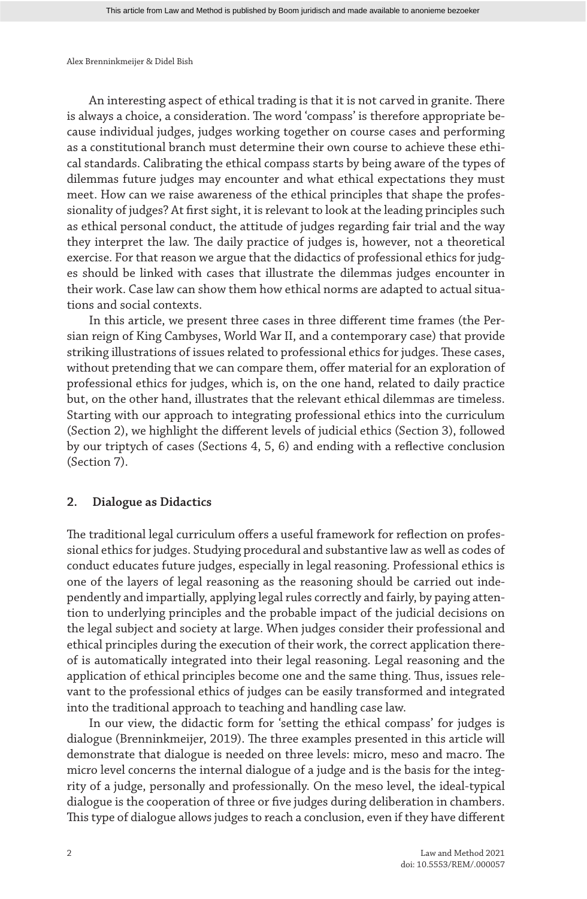An interesting aspect of ethical trading is that it is not carved in granite. There is always a choice, a consideration. The word 'compass' is therefore appropriate because individual judges, judges working together on course cases and performing as a constitutional branch must determine their own course to achieve these ethical standards. Calibrating the ethical compass starts by being aware of the types of dilemmas future judges may encounter and what ethical expectations they must meet. How can we raise awareness of the ethical principles that shape the professionality of judges? At first sight, it is relevant to look at the leading principles such as ethical personal conduct, the attitude of judges regarding fair trial and the way they interpret the law. The daily practice of judges is, however, not a theoretical exercise. For that reason we argue that the didactics of professional ethics for judges should be linked with cases that illustrate the dilemmas judges encounter in their work. Case law can show them how ethical norms are adapted to actual situations and social contexts.

In this article, we present three cases in three different time frames (the Persian reign of King Cambyses, World War II, and a contemporary case) that provide striking illustrations of issues related to professional ethics for judges. These cases, without pretending that we can compare them, offer material for an exploration of professional ethics for judges, which is, on the one hand, related to daily practice but, on the other hand, illustrates that the relevant ethical dilemmas are timeless. Starting with our approach to integrating professional ethics into the curriculum (Section 2), we highlight the different levels of judicial ethics (Section 3), followed by our triptych of cases (Sections 4, 5, 6) and ending with a reflective conclusion (Section 7).

## **2. Dialogue as Didactics**

The traditional legal curriculum offers a useful framework for reflection on professional ethics for judges. Studying procedural and substantive law as well as codes of conduct educates future judges, especially in legal reasoning. Professional ethics is one of the layers of legal reasoning as the reasoning should be carried out independently and impartially, applying legal rules correctly and fairly, by paying attention to underlying principles and the probable impact of the judicial decisions on the legal subject and society at large. When judges consider their professional and ethical principles during the execution of their work, the correct application thereof is automatically integrated into their legal reasoning. Legal reasoning and the application of ethical principles become one and the same thing. Thus, issues relevant to the professional ethics of judges can be easily transformed and integrated into the traditional approach to teaching and handling case law.

In our view, the didactic form for 'setting the ethical compass' for judges is dialogue (Brenninkmeijer, 2019). The three examples presented in this article will demonstrate that dialogue is needed on three levels: micro, meso and macro. The micro level concerns the internal dialogue of a judge and is the basis for the integrity of a judge, personally and professionally. On the meso level, the ideal-typical dialogue is the cooperation of three or five judges during deliberation in chambers. This type of dialogue allows judges to reach a conclusion, even if they have different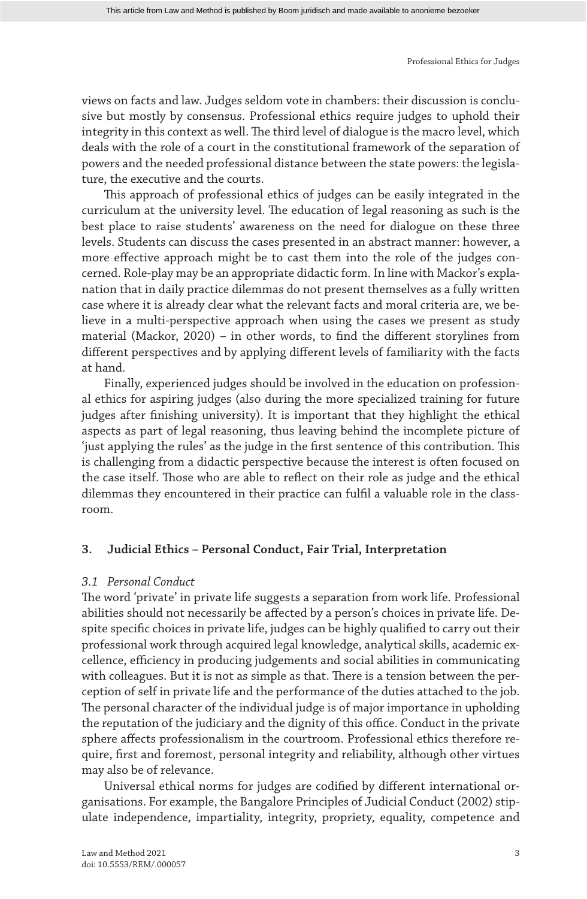views on facts and law. Judges seldom vote in chambers: their discussion is conclusive but mostly by consensus. Professional ethics require judges to uphold their integrity in this context as well. The third level of dialogue is the macro level, which deals with the role of a court in the constitutional framework of the separation of powers and the needed professional distance between the state powers: the legislature, the executive and the courts.

This approach of professional ethics of judges can be easily integrated in the curriculum at the university level. The education of legal reasoning as such is the best place to raise students' awareness on the need for dialogue on these three levels. Students can discuss the cases presented in an abstract manner: however, a more effective approach might be to cast them into the role of the judges concerned. Role-play may be an appropriate didactic form. In line with Mackor's explanation that in daily practice dilemmas do not present themselves as a fully written case where it is already clear what the relevant facts and moral criteria are, we believe in a multi-perspective approach when using the cases we present as study material (Mackor, 2020) – in other words, to find the different storylines from different perspectives and by applying different levels of familiarity with the facts at hand.

Finally, experienced judges should be involved in the education on professional ethics for aspiring judges (also during the more specialized training for future judges after finishing university). It is important that they highlight the ethical aspects as part of legal reasoning, thus leaving behind the incomplete picture of 'just applying the rules' as the judge in the first sentence of this contribution. This is challenging from a didactic perspective because the interest is often focused on the case itself. Those who are able to reflect on their role as judge and the ethical dilemmas they encountered in their practice can fulfil a valuable role in the classroom.

## **3. Judicial Ethics – Personal Conduct, Fair Trial, Interpretation**

## *3.1 Personal Conduct*

The word 'private' in private life suggests a separation from work life. Professional abilities should not necessarily be affected by a person's choices in private life. Despite specific choices in private life, judges can be highly qualified to carry out their professional work through acquired legal knowledge, analytical skills, academic excellence, efficiency in producing judgements and social abilities in communicating with colleagues. But it is not as simple as that. There is a tension between the perception of self in private life and the performance of the duties attached to the job. The personal character of the individual judge is of major importance in upholding the reputation of the judiciary and the dignity of this office. Conduct in the private sphere affects professionalism in the courtroom. Professional ethics therefore require, first and foremost, personal integrity and reliability, although other virtues may also be of relevance.

Universal ethical norms for judges are codified by different international organisations. For example, the Bangalore Principles of Judicial Conduct (2002) stipulate independence, impartiality, integrity, propriety, equality, competence and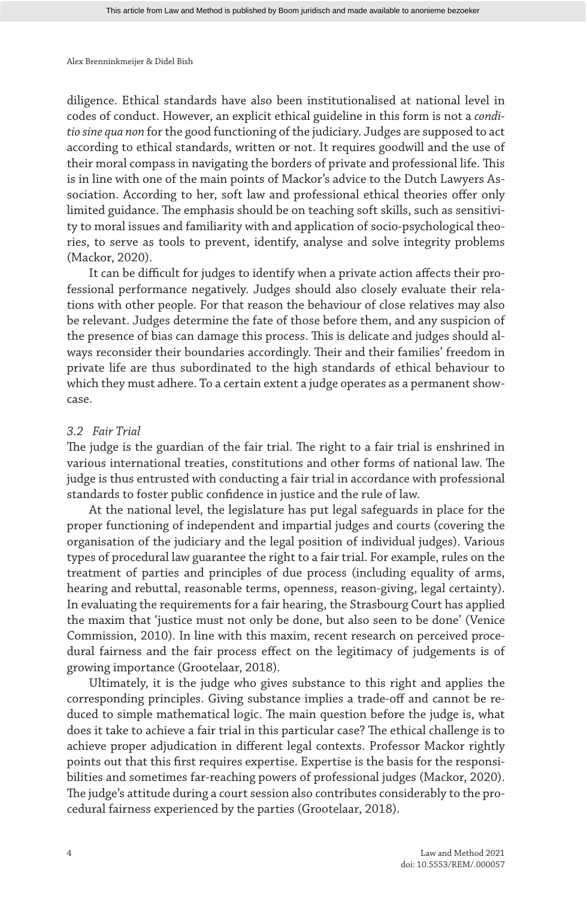diligence. Ethical standards have also been institutionalised at national level in codes of conduct. However, an explicit ethical guideline in this form is not a *conditio sine qua non* for the good functioning of the judiciary. Judges are supposed to act according to ethical standards, written or not. It requires goodwill and the use of their moral compass in navigating the borders of private and professional life. This is in line with one of the main points of Mackor's advice to the Dutch Lawyers Association. According to her, soft law and professional ethical theories offer only limited guidance. The emphasis should be on teaching soft skills, such as sensitivity to moral issues and familiarity with and application of socio-psychological theories, to serve as tools to prevent, identify, analyse and solve integrity problems (Mackor, 2020).

It can be difficult for judges to identify when a private action affects their professional performance negatively. Judges should also closely evaluate their relations with other people. For that reason the behaviour of close relatives may also be relevant. Judges determine the fate of those before them, and any suspicion of the presence of bias can damage this process. This is delicate and judges should always reconsider their boundaries accordingly. Their and their families' freedom in private life are thus subordinated to the high standards of ethical behaviour to which they must adhere. To a certain extent a judge operates as a permanent showcase.

## *3.2 Fair Trial*

The judge is the guardian of the fair trial. The right to a fair trial is enshrined in various international treaties, constitutions and other forms of national law. The judge is thus entrusted with conducting a fair trial in accordance with professional standards to foster public confidence in justice and the rule of law.

At the national level, the legislature has put legal safeguards in place for the proper functioning of independent and impartial judges and courts (covering the organisation of the judiciary and the legal position of individual judges). Various types of procedural law guarantee the right to a fair trial. For example, rules on the treatment of parties and principles of due process (including equality of arms, hearing and rebuttal, reasonable terms, openness, reason-giving, legal certainty). In evaluating the requirements for a fair hearing, the Strasbourg Court has applied the maxim that 'justice must not only be done, but also seen to be done' (Venice Commission, 2010). In line with this maxim, recent research on perceived procedural fairness and the fair process effect on the legitimacy of judgements is of growing importance (Grootelaar, 2018).

Ultimately, it is the judge who gives substance to this right and applies the corresponding principles. Giving substance implies a trade-off and cannot be reduced to simple mathematical logic. The main question before the judge is, what does it take to achieve a fair trial in this particular case? The ethical challenge is to achieve proper adjudication in different legal contexts. Professor Mackor rightly points out that this first requires expertise. Expertise is the basis for the responsibilities and sometimes far-reaching powers of professional judges (Mackor, 2020). The judge's attitude during a court session also contributes considerably to the procedural fairness experienced by the parties (Grootelaar, 2018).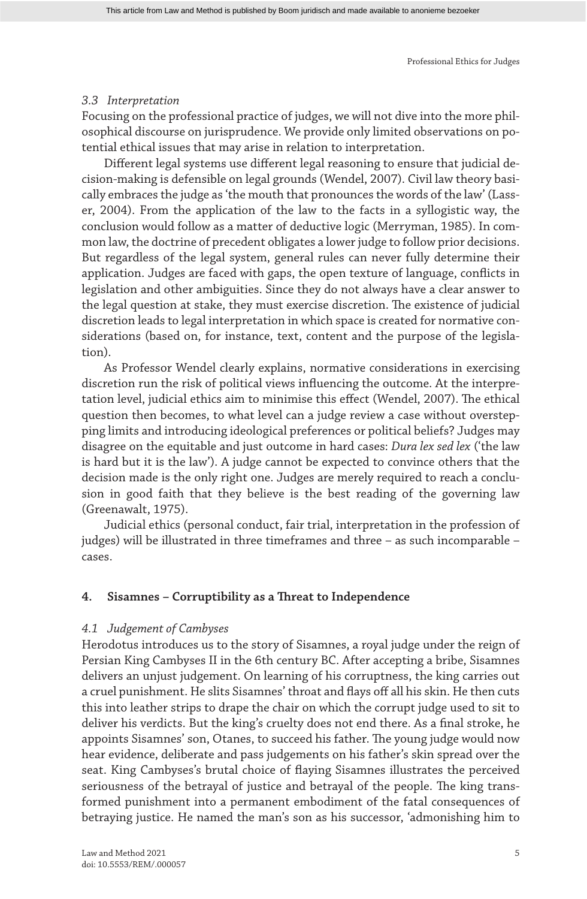## *3.3 Interpretation*

Focusing on the professional practice of judges, we will not dive into the more philosophical discourse on jurisprudence. We provide only limited observations on potential ethical issues that may arise in relation to interpretation.

Different legal systems use different legal reasoning to ensure that judicial decision-making is defensible on legal grounds (Wendel, 2007). Civil law theory basically embraces the judge as 'the mouth that pronounces the words of the law' (Lasser, 2004). From the application of the law to the facts in a syllogistic way, the conclusion would follow as a matter of deductive logic (Merryman, 1985). In common law, the doctrine of precedent obligates a lower judge to follow prior decisions. But regardless of the legal system, general rules can never fully determine their application. Judges are faced with gaps, the open texture of language, conflicts in legislation and other ambiguities. Since they do not always have a clear answer to the legal question at stake, they must exercise discretion. The existence of judicial discretion leads to legal interpretation in which space is created for normative considerations (based on, for instance, text, content and the purpose of the legislation).

As Professor Wendel clearly explains, normative considerations in exercising discretion run the risk of political views influencing the outcome. At the interpretation level, judicial ethics aim to minimise this effect (Wendel, 2007). The ethical question then becomes, to what level can a judge review a case without overstepping limits and introducing ideological preferences or political beliefs? Judges may disagree on the equitable and just outcome in hard cases: *Dura lex sed lex* ('the law is hard but it is the law'). A judge cannot be expected to convince others that the decision made is the only right one. Judges are merely required to reach a conclusion in good faith that they believe is the best reading of the governing law (Greenawalt, 1975).

Judicial ethics (personal conduct, fair trial, interpretation in the profession of judges) will be illustrated in three timeframes and three – as such incomparable – cases.

## **4. Sisamnes – Corruptibility as a Threat to Independence**

#### *4.1 Judgement of Cambyses*

Herodotus introduces us to the story of Sisamnes, a royal judge under the reign of Persian King Cambyses II in the 6th century BC. After accepting a bribe, Sisamnes delivers an unjust judgement. On learning of his corruptness, the king carries out a cruel punishment. He slits Sisamnes' throat and flays off all his skin. He then cuts this into leather strips to drape the chair on which the corrupt judge used to sit to deliver his verdicts. But the king's cruelty does not end there. As a final stroke, he appoints Sisamnes' son, Otanes, to succeed his father. The young judge would now hear evidence, deliberate and pass judgements on his father's skin spread over the seat. King Cambyses's brutal choice of flaying Sisamnes illustrates the perceived seriousness of the betrayal of justice and betrayal of the people. The king transformed punishment into a permanent embodiment of the fatal consequences of betraying justice. He named the man's son as his successor, 'admonishing him to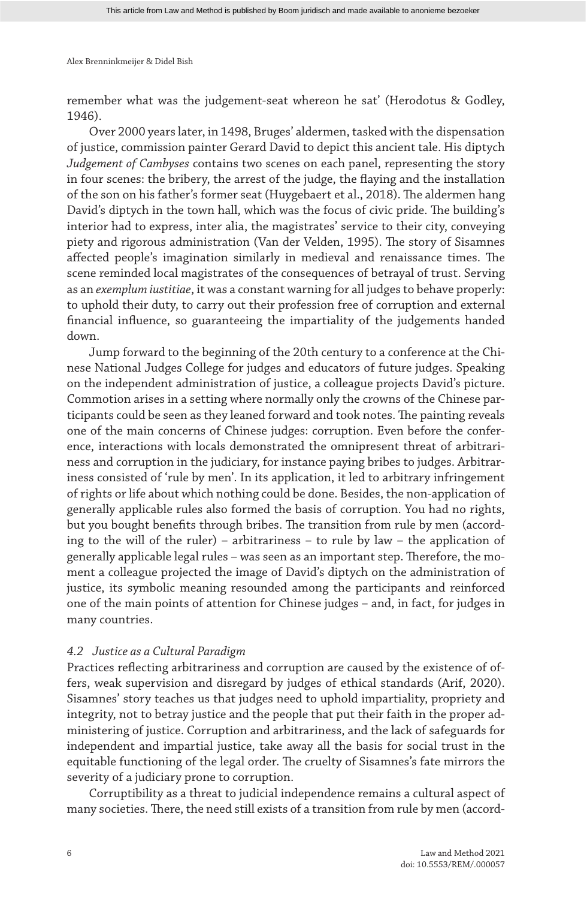remember what was the judgement-seat whereon he sat' (Herodotus & Godley, 1946).

Over 2000 years later, in 1498, Bruges' aldermen, tasked with the dispensation of justice, commission painter Gerard David to depict this ancient tale. His diptych *Judgement of Cambyses* contains two scenes on each panel, representing the story in four scenes: the bribery, the arrest of the judge, the flaying and the installation of the son on his father's former seat (Huygebaert et al., 2018). The aldermen hang David's diptych in the town hall, which was the focus of civic pride. The building's interior had to express, inter alia, the magistrates' service to their city, conveying piety and rigorous administration (Van der Velden, 1995). The story of Sisamnes affected people's imagination similarly in medieval and renaissance times. The scene reminded local magistrates of the consequences of betrayal of trust. Serving as an *exemplum iustitiae*, it was a constant warning for all judges to behave properly: to uphold their duty, to carry out their profession free of corruption and external financial influence, so guaranteeing the impartiality of the judgements handed down.

Jump forward to the beginning of the 20th century to a conference at the Chinese National Judges College for judges and educators of future judges. Speaking on the independent administration of justice, a colleague projects David's picture. Commotion arises in a setting where normally only the crowns of the Chinese participants could be seen as they leaned forward and took notes. The painting reveals one of the main concerns of Chinese judges: corruption. Even before the conference, interactions with locals demonstrated the omnipresent threat of arbitrariness and corruption in the judiciary, for instance paying bribes to judges. Arbitrariness consisted of 'rule by men'. In its application, it led to arbitrary infringement of rights or life about which nothing could be done. Besides, the non-application of generally applicable rules also formed the basis of corruption. You had no rights, but you bought benefits through bribes. The transition from rule by men (according to the will of the ruler) – arbitrariness – to rule by law – the application of generally applicable legal rules – was seen as an important step. Therefore, the moment a colleague projected the image of David's diptych on the administration of justice, its symbolic meaning resounded among the participants and reinforced one of the main points of attention for Chinese judges – and, in fact, for judges in many countries.

#### *4.2 Justice as a Cultural Paradigm*

Practices reflecting arbitrariness and corruption are caused by the existence of offers, weak supervision and disregard by judges of ethical standards (Arif, 2020). Sisamnes' story teaches us that judges need to uphold impartiality, propriety and integrity, not to betray justice and the people that put their faith in the proper administering of justice. Corruption and arbitrariness, and the lack of safeguards for independent and impartial justice, take away all the basis for social trust in the equitable functioning of the legal order. The cruelty of Sisamnes's fate mirrors the severity of a judiciary prone to corruption.

Corruptibility as a threat to judicial independence remains a cultural aspect of many societies. There, the need still exists of a transition from rule by men (accord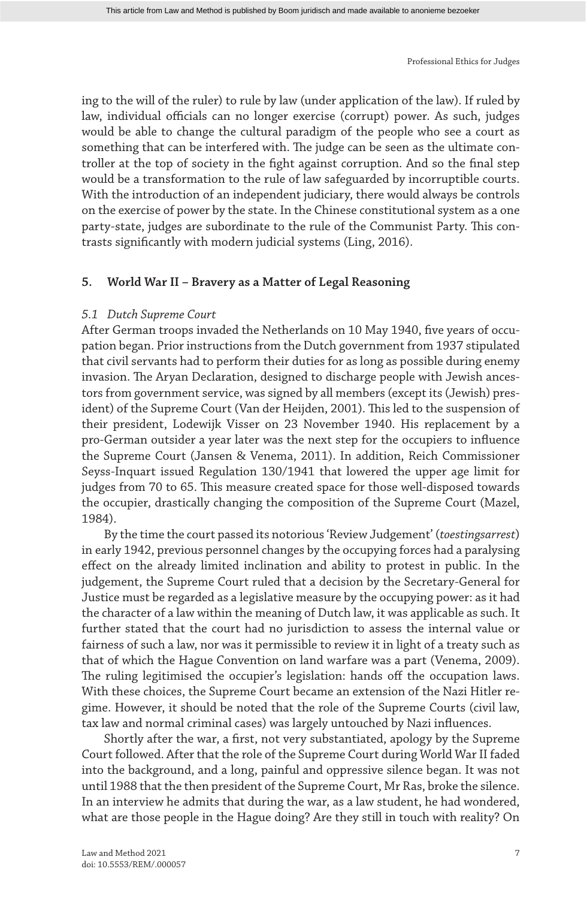ing to the will of the ruler) to rule by law (under application of the law). If ruled by law, individual officials can no longer exercise (corrupt) power. As such, judges would be able to change the cultural paradigm of the people who see a court as something that can be interfered with. The judge can be seen as the ultimate controller at the top of society in the fight against corruption. And so the final step would be a transformation to the rule of law safeguarded by incorruptible courts. With the introduction of an independent judiciary, there would always be controls on the exercise of power by the state. In the Chinese constitutional system as a one party-state, judges are subordinate to the rule of the Communist Party. This contrasts significantly with modern judicial systems (Ling, 2016).

#### **5. World War II – Bravery as a Matter of Legal Reasoning**

#### *5.1 Dutch Supreme Court*

After German troops invaded the Netherlands on 10 May 1940, five years of occupation began. Prior instructions from the Dutch government from 1937 stipulated that civil servants had to perform their duties for as long as possible during enemy invasion. The Aryan Declaration, designed to discharge people with Jewish ancestors from government service, was signed by all members (except its (Jewish) president) of the Supreme Court (Van der Heijden, 2001). This led to the suspension of their president, Lodewijk Visser on 23 November 1940. His replacement by a pro-German outsider a year later was the next step for the occupiers to influence the Supreme Court (Jansen & Venema, 2011). In addition, Reich Commissioner Seyss-Inquart issued Regulation 130/1941 that lowered the upper age limit for judges from 70 to 65. This measure created space for those well-disposed towards the occupier, drastically changing the composition of the Supreme Court (Mazel, 1984).

By the time the court passed its notorious 'Review Judgement' (*toestingsarrest*) in early 1942, previous personnel changes by the occupying forces had a paralysing effect on the already limited inclination and ability to protest in public. In the judgement, the Supreme Court ruled that a decision by the Secretary-General for Justice must be regarded as a legislative measure by the occupying power: as it had the character of a law within the meaning of Dutch law, it was applicable as such. It further stated that the court had no jurisdiction to assess the internal value or fairness of such a law, nor was it permissible to review it in light of a treaty such as that of which the Hague Convention on land warfare was a part (Venema, 2009). The ruling legitimised the occupier's legislation: hands off the occupation laws. With these choices, the Supreme Court became an extension of the Nazi Hitler regime. However, it should be noted that the role of the Supreme Courts (civil law, tax law and normal criminal cases) was largely untouched by Nazi influences.

Shortly after the war, a first, not very substantiated, apology by the Supreme Court followed. After that the role of the Supreme Court during World War II faded into the background, and a long, painful and oppressive silence began. It was not until 1988 that the then president of the Supreme Court, Mr Ras, broke the silence. In an interview he admits that during the war, as a law student, he had wondered, what are those people in the Hague doing? Are they still in touch with reality? On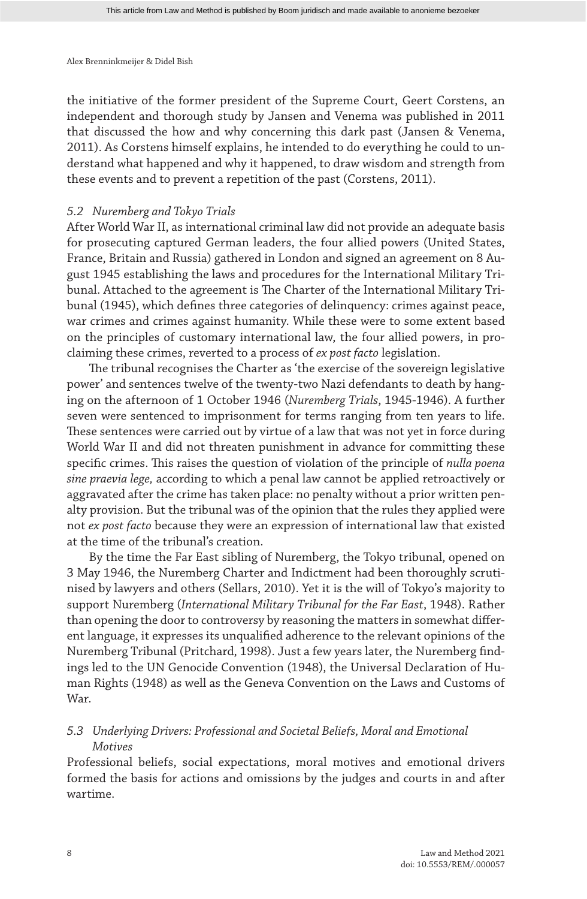the initiative of the former president of the Supreme Court, Geert Corstens, an independent and thorough study by Jansen and Venema was published in 2011 that discussed the how and why concerning this dark past (Jansen & Venema, 2011). As Corstens himself explains, he intended to do everything he could to understand what happened and why it happened, to draw wisdom and strength from these events and to prevent a repetition of the past (Corstens, 2011).

#### *5.2 Nuremberg and Tokyo Trials*

After World War II, as international criminal law did not provide an adequate basis for prosecuting captured German leaders, the four allied powers (United States, France, Britain and Russia) gathered in London and signed an agreement on 8 August 1945 establishing the laws and procedures for the International Military Tribunal. Attached to the agreement is The Charter of the International Military Tribunal (1945), which defines three categories of delinquency: crimes against peace, war crimes and crimes against humanity. While these were to some extent based on the principles of customary international law, the four allied powers, in proclaiming these crimes, reverted to a process of *ex post facto* legislation.

The tribunal recognises the Charter as 'the exercise of the sovereign legislative power' and sentences twelve of the twenty-two Nazi defendants to death by hanging on the afternoon of 1 October 1946 (*Nuremberg Trials*, 1945-1946). A further seven were sentenced to imprisonment for terms ranging from ten years to life. These sentences were carried out by virtue of a law that was not yet in force during World War II and did not threaten punishment in advance for committing these specific crimes. This raises the question of violation of the principle of *nulla poena sine praevia lege,* according to which a penal law cannot be applied retroactively or aggravated after the crime has taken place: no penalty without a prior written penalty provision. But the tribunal was of the opinion that the rules they applied were not *ex post facto* because they were an expression of international law that existed at the time of the tribunal's creation.

By the time the Far East sibling of Nuremberg, the Tokyo tribunal, opened on 3 May 1946, the Nuremberg Charter and Indictment had been thoroughly scrutinised by lawyers and others (Sellars, 2010). Yet it is the will of Tokyo's majority to support Nuremberg (*International Military Tribunal for the Far East*, 1948). Rather than opening the door to controversy by reasoning the matters in somewhat different language, it expresses its unqualified adherence to the relevant opinions of the Nuremberg Tribunal (Pritchard, 1998). Just a few years later, the Nuremberg findings led to the UN Genocide Convention (1948), the Universal Declaration of Human Rights (1948) as well as the Geneva Convention on the Laws and Customs of War.

## *5.3 Underlying Drivers: Professional and Societal Beliefs, Moral and Emotional Motives*

Professional beliefs, social expectations, moral motives and emotional drivers formed the basis for actions and omissions by the judges and courts in and after wartime.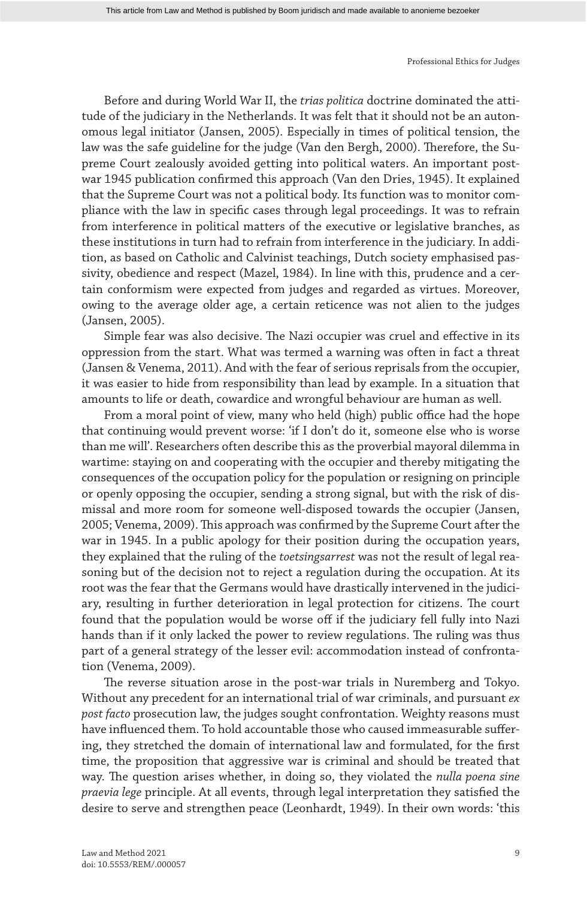Before and during World War II, the *trias politica* doctrine dominated the attitude of the judiciary in the Netherlands. It was felt that it should not be an autonomous legal initiator (Jansen, 2005). Especially in times of political tension, the law was the safe guideline for the judge (Van den Bergh, 2000). Therefore, the Supreme Court zealously avoided getting into political waters. An important postwar 1945 publication confirmed this approach (Van den Dries, 1945). It explained that the Supreme Court was not a political body. Its function was to monitor compliance with the law in specific cases through legal proceedings. It was to refrain from interference in political matters of the executive or legislative branches, as these institutions in turn had to refrain from interference in the judiciary. In addition, as based on Catholic and Calvinist teachings, Dutch society emphasised passivity, obedience and respect (Mazel, 1984). In line with this, prudence and a certain conformism were expected from judges and regarded as virtues. Moreover, owing to the average older age, a certain reticence was not alien to the judges (Jansen, 2005).

Simple fear was also decisive. The Nazi occupier was cruel and effective in its oppression from the start. What was termed a warning was often in fact a threat (Jansen & Venema, 2011). And with the fear of serious reprisals from the occupier, it was easier to hide from responsibility than lead by example. In a situation that amounts to life or death, cowardice and wrongful behaviour are human as well.

From a moral point of view, many who held (high) public office had the hope that continuing would prevent worse: 'if I don't do it, someone else who is worse than me will'. Researchers often describe this as the proverbial mayoral dilemma in wartime: staying on and cooperating with the occupier and thereby mitigating the consequences of the occupation policy for the population or resigning on principle or openly opposing the occupier, sending a strong signal, but with the risk of dismissal and more room for someone well-disposed towards the occupier (Jansen, 2005; Venema, 2009). This approach was confirmed by the Supreme Court after the war in 1945. In a public apology for their position during the occupation years, they explained that the ruling of the *toetsingsarrest* was not the result of legal reasoning but of the decision not to reject a regulation during the occupation. At its root was the fear that the Germans would have drastically intervened in the judiciary, resulting in further deterioration in legal protection for citizens. The court found that the population would be worse off if the judiciary fell fully into Nazi hands than if it only lacked the power to review regulations. The ruling was thus part of a general strategy of the lesser evil: accommodation instead of confrontation (Venema, 2009).

The reverse situation arose in the post-war trials in Nuremberg and Tokyo. Without any precedent for an international trial of war criminals, and pursuant *ex post facto* prosecution law, the judges sought confrontation. Weighty reasons must have influenced them. To hold accountable those who caused immeasurable suffering, they stretched the domain of international law and formulated, for the first time, the proposition that aggressive war is criminal and should be treated that way. The question arises whether, in doing so, they violated the *nulla poena sine praevia lege* principle. At all events, through legal interpretation they satisfied the desire to serve and strengthen peace (Leonhardt, 1949). In their own words: 'this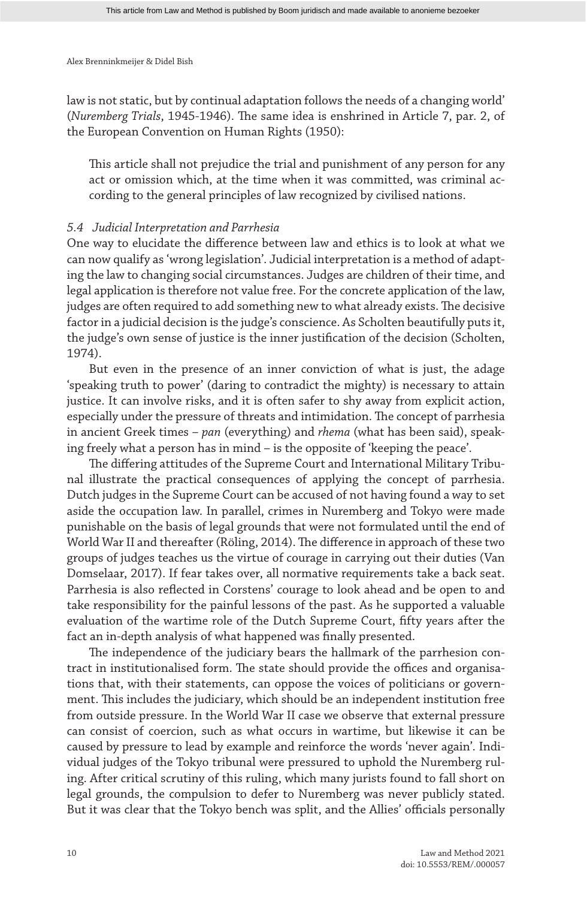law is not static, but by continual adaptation follows the needs of a changing world' (*Nuremberg Trials*, 1945-1946). The same idea is enshrined in Article 7, par. 2, of the European Convention on Human Rights (1950):

This article shall not prejudice the trial and punishment of any person for any act or omission which, at the time when it was committed, was criminal according to the general principles of law recognized by civilised nations.

#### *5.4 Judicial Interpretation and Parrhesia*

One way to elucidate the difference between law and ethics is to look at what we can now qualify as 'wrong legislation'. Judicial interpretation is a method of adapting the law to changing social circumstances. Judges are children of their time, and legal application is therefore not value free. For the concrete application of the law, judges are often required to add something new to what already exists. The decisive factor in a judicial decision is the judge's conscience. As Scholten beautifully puts it, the judge's own sense of justice is the inner justification of the decision (Scholten, 1974).

But even in the presence of an inner conviction of what is just, the adage 'speaking truth to power' (daring to contradict the mighty) is necessary to attain justice. It can involve risks, and it is often safer to shy away from explicit action, especially under the pressure of threats and intimidation. The concept of parrhesia in ancient Greek times – *pan* (everything) and *rhema* (what has been said), speaking freely what a person has in mind – is the opposite of 'keeping the peace'.

The differing attitudes of the Supreme Court and International Military Tribunal illustrate the practical consequences of applying the concept of parrhesia. Dutch judges in the Supreme Court can be accused of not having found a way to set aside the occupation law. In parallel, crimes in Nuremberg and Tokyo were made punishable on the basis of legal grounds that were not formulated until the end of World War II and thereafter (Röling, 2014). The difference in approach of these two groups of judges teaches us the virtue of courage in carrying out their duties (Van Domselaar, 2017). If fear takes over, all normative requirements take a back seat. Parrhesia is also reflected in Corstens' courage to look ahead and be open to and take responsibility for the painful lessons of the past. As he supported a valuable evaluation of the wartime role of the Dutch Supreme Court, fifty years after the fact an in-depth analysis of what happened was finally presented.

The independence of the judiciary bears the hallmark of the parrhesion contract in institutionalised form. The state should provide the offices and organisations that, with their statements, can oppose the voices of politicians or government. This includes the judiciary, which should be an independent institution free from outside pressure. In the World War II case we observe that external pressure can consist of coercion, such as what occurs in wartime, but likewise it can be caused by pressure to lead by example and reinforce the words 'never again'. Individual judges of the Tokyo tribunal were pressured to uphold the Nuremberg ruling. After critical scrutiny of this ruling, which many jurists found to fall short on legal grounds, the compulsion to defer to Nuremberg was never publicly stated. But it was clear that the Tokyo bench was split, and the Allies' officials personally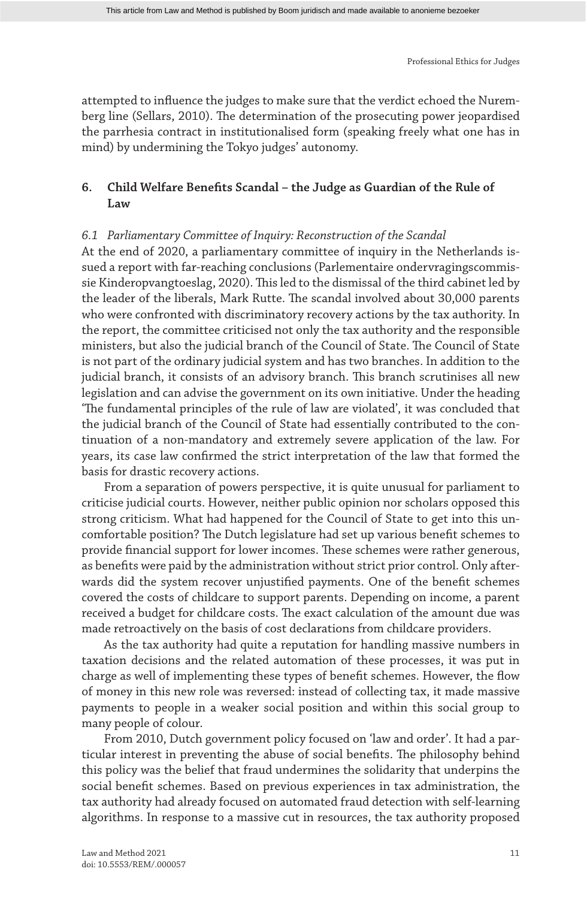attempted to influence the judges to make sure that the verdict echoed the Nuremberg line (Sellars, 2010). The determination of the prosecuting power jeopardised the parrhesia contract in institutionalised form (speaking freely what one has in mind) by undermining the Tokyo judges' autonomy.

## **6. Child Welfare Benefits Scandal – the Judge as Guardian of the Rule of Law**

## *6.1 Parliamentary Committee of Inquiry: Reconstruction of the Scandal*

At the end of 2020, a parliamentary committee of inquiry in the Netherlands issued a report with far-reaching conclusions (Parlementaire ondervragingscommissie Kinderopvangtoeslag, 2020). This led to the dismissal of the third cabinet led by the leader of the liberals, Mark Rutte. The scandal involved about 30,000 parents who were confronted with discriminatory recovery actions by the tax authority. In the report, the committee criticised not only the tax authority and the responsible ministers, but also the judicial branch of the Council of State. The Council of State is not part of the ordinary judicial system and has two branches. In addition to the judicial branch, it consists of an advisory branch. This branch scrutinises all new legislation and can advise the government on its own initiative. Under the heading 'The fundamental principles of the rule of law are violated', it was concluded that the judicial branch of the Council of State had essentially contributed to the continuation of a non-mandatory and extremely severe application of the law. For years, its case law confirmed the strict interpretation of the law that formed the basis for drastic recovery actions.

From a separation of powers perspective, it is quite unusual for parliament to criticise judicial courts. However, neither public opinion nor scholars opposed this strong criticism. What had happened for the Council of State to get into this uncomfortable position? The Dutch legislature had set up various benefit schemes to provide financial support for lower incomes. These schemes were rather generous, as benefits were paid by the administration without strict prior control. Only afterwards did the system recover unjustified payments. One of the benefit schemes covered the costs of childcare to support parents. Depending on income, a parent received a budget for childcare costs. The exact calculation of the amount due was made retroactively on the basis of cost declarations from childcare providers.

As the tax authority had quite a reputation for handling massive numbers in taxation decisions and the related automation of these processes, it was put in charge as well of implementing these types of benefit schemes. However, the flow of money in this new role was reversed: instead of collecting tax, it made massive payments to people in a weaker social position and within this social group to many people of colour.

From 2010, Dutch government policy focused on 'law and order'. It had a particular interest in preventing the abuse of social benefits. The philosophy behind this policy was the belief that fraud undermines the solidarity that underpins the social benefit schemes. Based on previous experiences in tax administration, the tax authority had already focused on automated fraud detection with self-learning algorithms. In response to a massive cut in resources, the tax authority proposed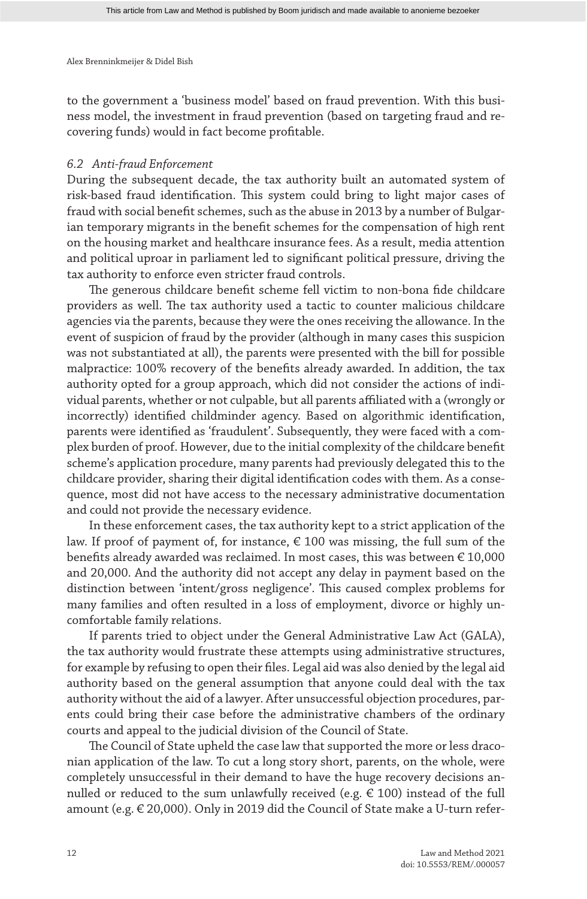to the government a 'business model' based on fraud prevention. With this business model, the investment in fraud prevention (based on targeting fraud and recovering funds) would in fact become profitable.

## *6.2 Anti-fraud Enforcement*

During the subsequent decade, the tax authority built an automated system of risk-based fraud identification. This system could bring to light major cases of fraud with social benefit schemes, such as the abuse in 2013 by a number of Bulgarian temporary migrants in the benefit schemes for the compensation of high rent on the housing market and healthcare insurance fees. As a result, media attention and political uproar in parliament led to significant political pressure, driving the tax authority to enforce even stricter fraud controls.

The generous childcare benefit scheme fell victim to non-bona fide childcare providers as well. The tax authority used a tactic to counter malicious childcare agencies via the parents, because they were the ones receiving the allowance. In the event of suspicion of fraud by the provider (although in many cases this suspicion was not substantiated at all), the parents were presented with the bill for possible malpractice: 100% recovery of the benefits already awarded. In addition, the tax authority opted for a group approach, which did not consider the actions of individual parents, whether or not culpable, but all parents affiliated with a (wrongly or incorrectly) identified childminder agency. Based on algorithmic identification, parents were identified as 'fraudulent'. Subsequently, they were faced with a complex burden of proof. However, due to the initial complexity of the childcare benefit scheme's application procedure, many parents had previously delegated this to the childcare provider, sharing their digital identification codes with them. As a consequence, most did not have access to the necessary administrative documentation and could not provide the necessary evidence.

In these enforcement cases, the tax authority kept to a strict application of the law. If proof of payment of, for instance,  $\epsilon$  100 was missing, the full sum of the benefits already awarded was reclaimed. In most cases, this was between € 10,000 and 20,000. And the authority did not accept any delay in payment based on the distinction between 'intent/gross negligence'. This caused complex problems for many families and often resulted in a loss of employment, divorce or highly uncomfortable family relations.

If parents tried to object under the General Administrative Law Act (GALA), the tax authority would frustrate these attempts using administrative structures, for example by refusing to open their files. Legal aid was also denied by the legal aid authority based on the general assumption that anyone could deal with the tax authority without the aid of a lawyer. After unsuccessful objection procedures, parents could bring their case before the administrative chambers of the ordinary courts and appeal to the judicial division of the Council of State.

The Council of State upheld the case law that supported the more or less draconian application of the law. To cut a long story short, parents, on the whole, were completely unsuccessful in their demand to have the huge recovery decisions annulled or reduced to the sum unlawfully received (e.g.  $\in$  100) instead of the full amount (e.g. € 20,000). Only in 2019 did the Council of State make a U-turn refer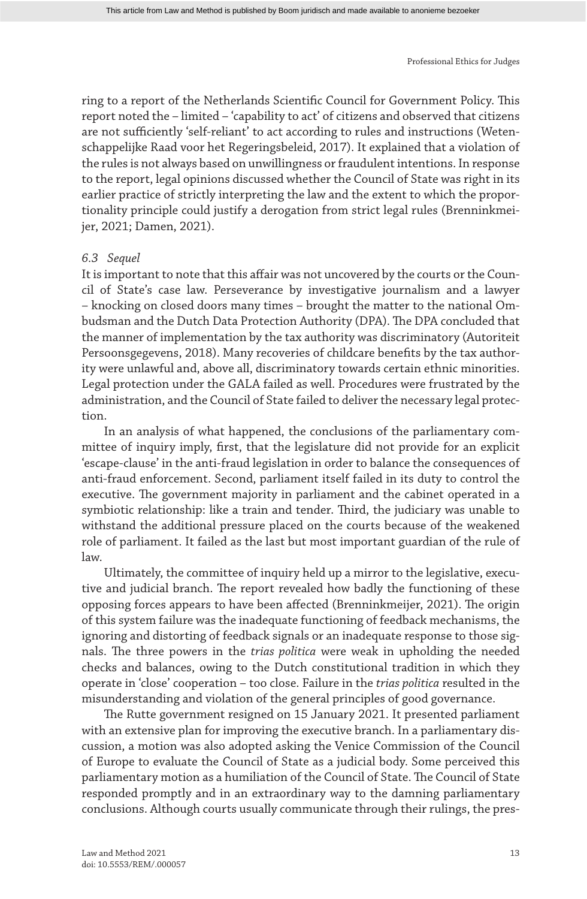ring to a report of the Netherlands Scientific Council for Government Policy. This report noted the – limited – 'capability to act' of citizens and observed that citizens are not sufficiently 'self-reliant' to act according to rules and instructions (Wetenschappelijke Raad voor het Regeringsbeleid, 2017). It explained that a violation of the rules is not always based on unwillingness or fraudulent intentions. In response to the report, legal opinions discussed whether the Council of State was right in its earlier practice of strictly interpreting the law and the extent to which the proportionality principle could justify a derogation from strict legal rules (Brenninkmeijer, 2021; Damen, 2021).

## *6.3 Sequel*

It is important to note that this affair was not uncovered by the courts or the Council of State's case law. Perseverance by investigative journalism and a lawyer – knocking on closed doors many times – brought the matter to the national Ombudsman and the Dutch Data Protection Authority (DPA). The DPA concluded that the manner of implementation by the tax authority was discriminatory (Autoriteit Persoonsgegevens, 2018). Many recoveries of childcare benefits by the tax authority were unlawful and, above all, discriminatory towards certain ethnic minorities. Legal protection under the GALA failed as well. Procedures were frustrated by the administration, and the Council of State failed to deliver the necessary legal protection.

In an analysis of what happened, the conclusions of the parliamentary committee of inquiry imply, first, that the legislature did not provide for an explicit 'escape-clause' in the anti-fraud legislation in order to balance the consequences of anti-fraud enforcement. Second, parliament itself failed in its duty to control the executive. The government majority in parliament and the cabinet operated in a symbiotic relationship: like a train and tender. Third, the judiciary was unable to withstand the additional pressure placed on the courts because of the weakened role of parliament. It failed as the last but most important guardian of the rule of law.

Ultimately, the committee of inquiry held up a mirror to the legislative, executive and judicial branch. The report revealed how badly the functioning of these opposing forces appears to have been affected (Brenninkmeijer, 2021). The origin of this system failure was the inadequate functioning of feedback mechanisms, the ignoring and distorting of feedback signals or an inadequate response to those signals. The three powers in the *trias politica* were weak in upholding the needed checks and balances, owing to the Dutch constitutional tradition in which they operate in 'close' cooperation – too close. Failure in the *trias politica* resulted in the misunderstanding and violation of the general principles of good governance.

The Rutte government resigned on 15 January 2021. It presented parliament with an extensive plan for improving the executive branch. In a parliamentary discussion, a motion was also adopted asking the Venice Commission of the Council of Europe to evaluate the Council of State as a judicial body. Some perceived this parliamentary motion as a humiliation of the Council of State. The Council of State responded promptly and in an extraordinary way to the damning parliamentary conclusions. Although courts usually communicate through their rulings, the pres-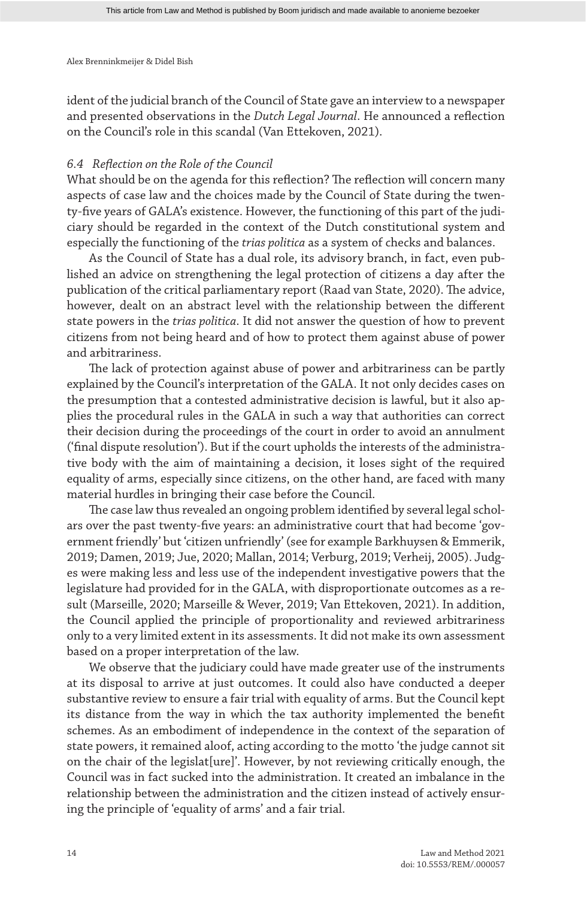ident of the judicial branch of the Council of State gave an interview to a newspaper and presented observations in the *Dutch Legal Journal*. He announced a reflection on the Council's role in this scandal (Van Ettekoven, 2021).

## *6.4 Reflection on the Role of the Council*

What should be on the agenda for this reflection? The reflection will concern many aspects of case law and the choices made by the Council of State during the twenty-five years of GALA's existence. However, the functioning of this part of the judiciary should be regarded in the context of the Dutch constitutional system and especially the functioning of the *trias politica* as a system of checks and balances.

As the Council of State has a dual role, its advisory branch, in fact, even published an advice on strengthening the legal protection of citizens a day after the publication of the critical parliamentary report (Raad van State, 2020). The advice, however, dealt on an abstract level with the relationship between the different state powers in the *trias politica*. It did not answer the question of how to prevent citizens from not being heard and of how to protect them against abuse of power and arbitrariness.

The lack of protection against abuse of power and arbitrariness can be partly explained by the Council's interpretation of the GALA. It not only decides cases on the presumption that a contested administrative decision is lawful, but it also applies the procedural rules in the GALA in such a way that authorities can correct their decision during the proceedings of the court in order to avoid an annulment ('final dispute resolution'). But if the court upholds the interests of the administrative body with the aim of maintaining a decision, it loses sight of the required equality of arms, especially since citizens, on the other hand, are faced with many material hurdles in bringing their case before the Council.

The case law thus revealed an ongoing problem identified by several legal scholars over the past twenty-five years: an administrative court that had become 'government friendly' but 'citizen unfriendly' (see for example Barkhuysen & Emmerik, 2019; Damen, 2019; Jue, 2020; Mallan, 2014; Verburg, 2019; Verheij, 2005). Judges were making less and less use of the independent investigative powers that the legislature had provided for in the GALA, with disproportionate outcomes as a result (Marseille, 2020; Marseille & Wever, 2019; Van Ettekoven, 2021). In addition, the Council applied the principle of proportionality and reviewed arbitrariness only to a very limited extent in its assessments. It did not make its own assessment based on a proper interpretation of the law.

We observe that the judiciary could have made greater use of the instruments at its disposal to arrive at just outcomes. It could also have conducted a deeper substantive review to ensure a fair trial with equality of arms. But the Council kept its distance from the way in which the tax authority implemented the benefit schemes. As an embodiment of independence in the context of the separation of state powers, it remained aloof, acting according to the motto 'the judge cannot sit on the chair of the legislat[ure]'. However, by not reviewing critically enough, the Council was in fact sucked into the administration. It created an imbalance in the relationship between the administration and the citizen instead of actively ensuring the principle of 'equality of arms' and a fair trial.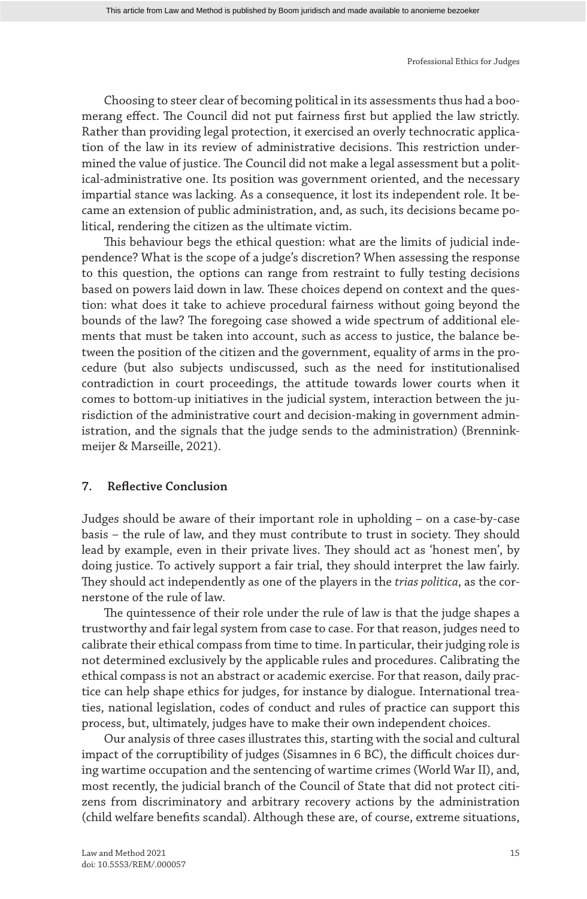Choosing to steer clear of becoming political in its assessments thus had a boomerang effect. The Council did not put fairness first but applied the law strictly. Rather than providing legal protection, it exercised an overly technocratic application of the law in its review of administrative decisions. This restriction undermined the value of justice. The Council did not make a legal assessment but a political-administrative one. Its position was government oriented, and the necessary impartial stance was lacking. As a consequence, it lost its independent role. It became an extension of public administration, and, as such, its decisions became political, rendering the citizen as the ultimate victim.

This behaviour begs the ethical question: what are the limits of judicial independence? What is the scope of a judge's discretion? When assessing the response to this question, the options can range from restraint to fully testing decisions based on powers laid down in law. These choices depend on context and the question: what does it take to achieve procedural fairness without going beyond the bounds of the law? The foregoing case showed a wide spectrum of additional elements that must be taken into account, such as access to justice, the balance between the position of the citizen and the government, equality of arms in the procedure (but also subjects undiscussed, such as the need for institutionalised contradiction in court proceedings, the attitude towards lower courts when it comes to bottom-up initiatives in the judicial system, interaction between the jurisdiction of the administrative court and decision-making in government administration, and the signals that the judge sends to the administration) (Brenninkmeijer & Marseille, 2021).

## **7. Reflective Conclusion**

Judges should be aware of their important role in upholding – on a case-by-case basis – the rule of law, and they must contribute to trust in society. They should lead by example, even in their private lives. They should act as 'honest men', by doing justice. To actively support a fair trial, they should interpret the law fairly. They should act independently as one of the players in the *trias politica*, as the cornerstone of the rule of law.

The quintessence of their role under the rule of law is that the judge shapes a trustworthy and fair legal system from case to case. For that reason, judges need to calibrate their ethical compass from time to time. In particular, their judging role is not determined exclusively by the applicable rules and procedures. Calibrating the ethical compass is not an abstract or academic exercise. For that reason, daily practice can help shape ethics for judges, for instance by dialogue. International treaties, national legislation, codes of conduct and rules of practice can support this process, but, ultimately, judges have to make their own independent choices.

Our analysis of three cases illustrates this, starting with the social and cultural impact of the corruptibility of judges (Sisamnes in 6 BC), the difficult choices during wartime occupation and the sentencing of wartime crimes (World War II), and, most recently, the judicial branch of the Council of State that did not protect citizens from discriminatory and arbitrary recovery actions by the administration (child welfare benefits scandal). Although these are, of course, extreme situations,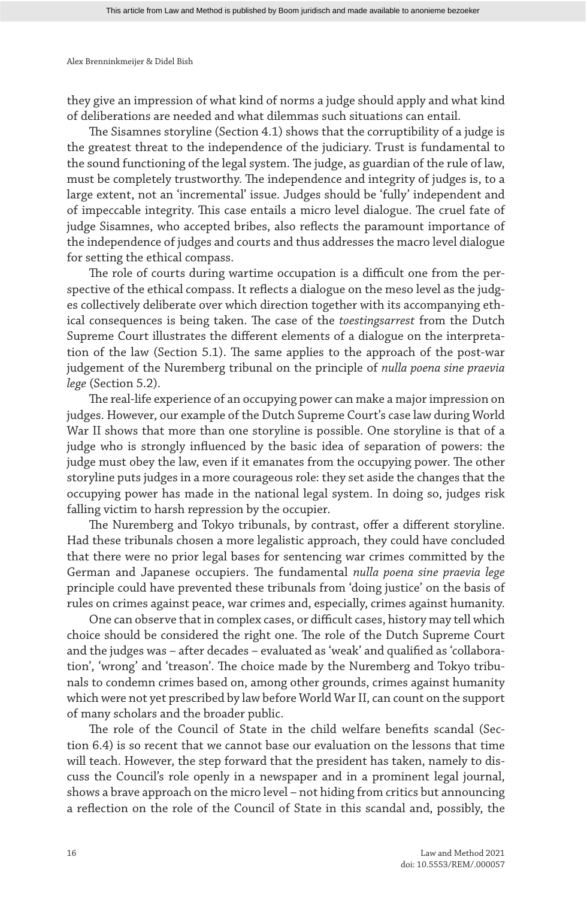they give an impression of what kind of norms a judge should apply and what kind of deliberations are needed and what dilemmas such situations can entail.

The Sisamnes storyline (Section 4.1) shows that the corruptibility of a judge is the greatest threat to the independence of the judiciary. Trust is fundamental to the sound functioning of the legal system. The judge, as guardian of the rule of law, must be completely trustworthy. The independence and integrity of judges is, to a large extent, not an 'incremental' issue. Judges should be 'fully' independent and of impeccable integrity. This case entails a micro level dialogue. The cruel fate of judge Sisamnes, who accepted bribes, also reflects the paramount importance of the independence of judges and courts and thus addresses the macro level dialogue for setting the ethical compass.

The role of courts during wartime occupation is a difficult one from the perspective of the ethical compass. It reflects a dialogue on the meso level as the judges collectively deliberate over which direction together with its accompanying ethical consequences is being taken. The case of the *toestingsarrest* from the Dutch Supreme Court illustrates the different elements of a dialogue on the interpretation of the law (Section 5.1). The same applies to the approach of the post-war judgement of the Nuremberg tribunal on the principle of *nulla poena sine praevia lege* (Section 5.2).

The real-life experience of an occupying power can make a major impression on judges. However, our example of the Dutch Supreme Court's case law during World War II shows that more than one storyline is possible. One storyline is that of a judge who is strongly influenced by the basic idea of separation of powers: the judge must obey the law, even if it emanates from the occupying power. The other storyline puts judges in a more courageous role: they set aside the changes that the occupying power has made in the national legal system. In doing so, judges risk falling victim to harsh repression by the occupier.

The Nuremberg and Tokyo tribunals, by contrast, offer a different storyline. Had these tribunals chosen a more legalistic approach, they could have concluded that there were no prior legal bases for sentencing war crimes committed by the German and Japanese occupiers. The fundamental *nulla poena sine praevia lege* principle could have prevented these tribunals from 'doing justice' on the basis of rules on crimes against peace, war crimes and, especially, crimes against humanity.

One can observe that in complex cases, or difficult cases, history may tell which choice should be considered the right one. The role of the Dutch Supreme Court and the judges was – after decades – evaluated as 'weak' and qualified as 'collaboration', 'wrong' and 'treason'. The choice made by the Nuremberg and Tokyo tribunals to condemn crimes based on, among other grounds, crimes against humanity which were not yet prescribed by law before World War II, can count on the support of many scholars and the broader public.

The role of the Council of State in the child welfare benefits scandal (Section 6.4) is so recent that we cannot base our evaluation on the lessons that time will teach. However, the step forward that the president has taken, namely to discuss the Council's role openly in a newspaper and in a prominent legal journal, shows a brave approach on the micro level – not hiding from critics but announcing a reflection on the role of the Council of State in this scandal and, possibly, the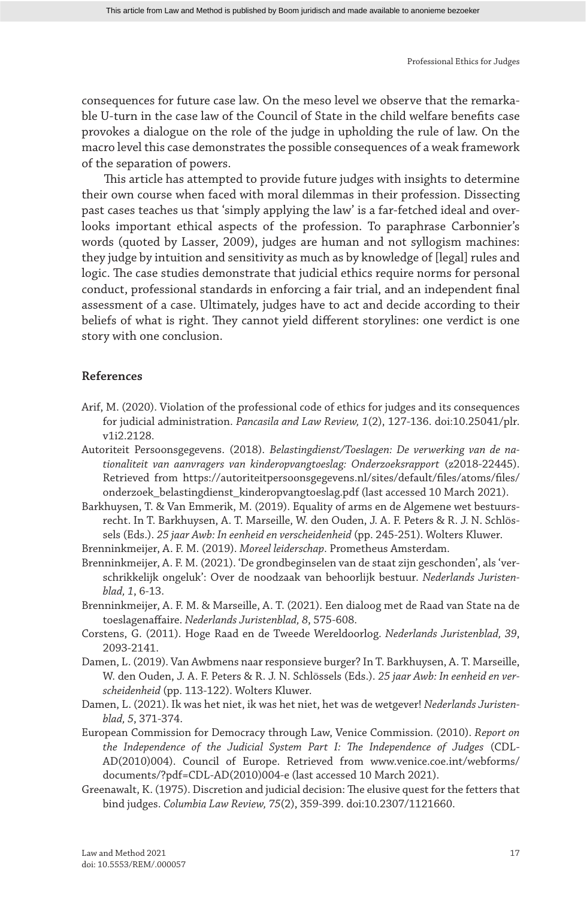consequences for future case law. On the meso level we observe that the remarkable U-turn in the case law of the Council of State in the child welfare benefits case provokes a dialogue on the role of the judge in upholding the rule of law. On the macro level this case demonstrates the possible consequences of a weak framework of the separation of powers.

This article has attempted to provide future judges with insights to determine their own course when faced with moral dilemmas in their profession. Dissecting past cases teaches us that 'simply applying the law' is a far-fetched ideal and overlooks important ethical aspects of the profession. To paraphrase Carbonnier's words (quoted by Lasser, 2009), judges are human and not syllogism machines: they judge by intuition and sensitivity as much as by knowledge of [legal] rules and logic. The case studies demonstrate that judicial ethics require norms for personal conduct, professional standards in enforcing a fair trial, and an independent final assessment of a case. Ultimately, judges have to act and decide according to their beliefs of what is right. They cannot yield different storylines: one verdict is one story with one conclusion.

## **References**

- Arif, M. (2020). Violation of the professional code of ethics for judges and its consequences for judicial administration. *Pancasila and Law Review, 1*(2), 127-136. doi:10.25041/plr. v1i2.2128.
- Autoriteit Persoonsgegevens. (2018). *Belastingdienst/Toeslagen: De verwerking van de nationaliteit van aanvragers van kinderopvangtoeslag: Onderzoeksrapport* (z2018-22445). Retrieved from https://autoriteitpersoonsgegevens.nl/sites/default/files/atoms/files/ onderzoek\_belastingdienst\_kinderopvangtoeslag.pdf (last accessed 10 March 2021).
- Barkhuysen, T. & Van Emmerik, M. (2019). Equality of arms en de Algemene wet bestuursrecht. In T. Barkhuysen, A. T. Marseille, W. den Ouden, J. A. F. Peters & R. J. N. Schlössels (Eds.). *25 jaar Awb: In eenheid en verscheidenheid* (pp. 245-251). Wolters Kluwer.
- Brenninkmeijer, A. F. M. (2019). *Moreel leiderschap*. Prometheus Amsterdam.
- Brenninkmeijer, A. F. M. (2021). 'De grondbeginselen van de staat zijn geschonden', als 'verschrikkelijk ongeluk': Over de noodzaak van behoorlijk bestuur. *Nederlands Juristenblad, 1*, 6-13.
- Brenninkmeijer, A. F. M. & Marseille, A. T. (2021). Een dialoog met de Raad van State na de toeslagenaffaire. *Nederlands Juristenblad, 8*, 575-608.
- Corstens, G. (2011). Hoge Raad en de Tweede Wereldoorlog. *Nederlands Juristenblad, 39*, 2093-2141.
- Damen, L. (2019). Van Awbmens naar responsieve burger? In T. Barkhuysen, A. T. Marseille, W. den Ouden, J. A. F. Peters & R. J. N. Schlössels (Eds.). *25 jaar Awb: In eenheid en verscheidenheid* (pp. 113-122). Wolters Kluwer.
- Damen, L. (2021). Ik was het niet, ik was het niet, het was de wetgever! *Nederlands Juristenblad, 5*, 371-374.
- European Commission for Democracy through Law, Venice Commission. (2010). *Report on the Independence of the Judicial System Part I: The Independence of Judges* (CDL-AD(2010)004). Council of Europe. Retrieved from www.venice.coe.int/webforms/ documents/?pdf=CDL-AD(2010)004-e (last accessed 10 March 2021).
- Greenawalt, K. (1975). Discretion and judicial decision: The elusive quest for the fetters that bind judges. *Columbia Law Review, 75*(2), 359-399. doi:10.2307/1121660.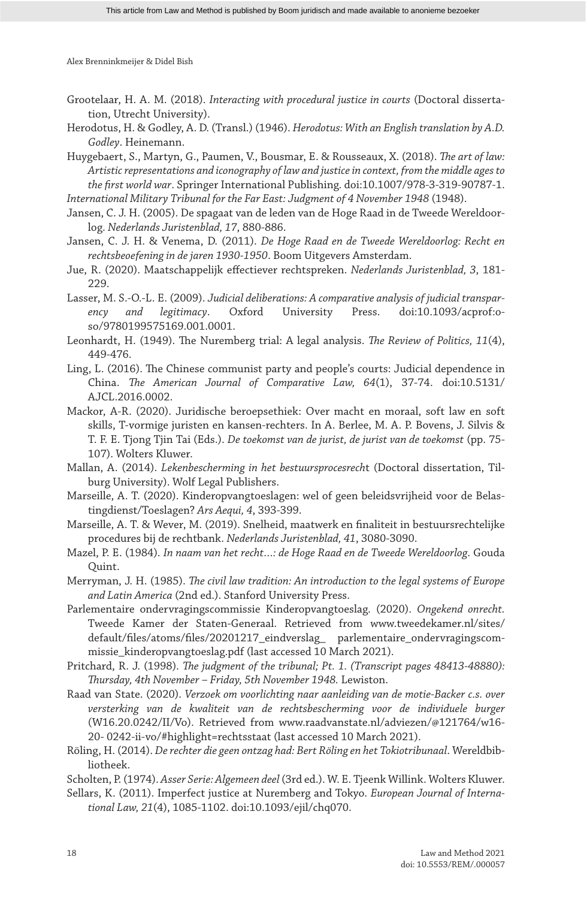- Grootelaar, H. A. M. (2018). *Interacting with procedural justice in courts* (Doctoral dissertation, Utrecht University).
- Herodotus, H. & Godley, A. D. (Transl.) (1946). *Herodotus: With an English translation by A.D. Godley*. Heinemann.

Huygebaert, S., Martyn, G., Paumen, V., Bousmar, E. & Rousseaux, X. (2018). *The art of law: Artistic representations and iconography of law and justice in context, from the middle ages to the first world war*. Springer International Publishing. doi:10.1007/978-3-319-90787-1.

*International Military Tribunal for the Far East: Judgment of 4 November 1948* (1948).

- Jansen, C. J. H. (2005). De spagaat van de leden van de Hoge Raad in de Tweede Wereldoorlog. *Nederlands Juristenblad, 17*, 880-886.
- Jansen, C. J. H. & Venema, D. (2011). *De Hoge Raad en de Tweede Wereldoorlog: Recht en rechtsbeoefening in de jaren 1930-1950*. Boom Uitgevers Amsterdam.
- Jue, R. (2020). Maatschappelijk effectiever rechtspreken. *Nederlands Juristenblad, 3*, 181- 229.
- Lasser, M. S.-O.-L. E. (2009). *Judicial deliberations: A comparative analysis of judicial transparency and legitimacy*. Oxford University Press. doi:10.1093/acprof:oso/9780199575169.001.0001.
- Leonhardt, H. (1949). The Nuremberg trial: A legal analysis. *The Review of Politics, 11*(4), 449-476.
- Ling, L. (2016). The Chinese communist party and people's courts: Judicial dependence in China. *The American Journal of Comparative Law, 64*(1), 37-74. doi:10.5131/ AJCL.2016.0002.
- Mackor, A-R. (2020). Juridische beroepsethiek: Over macht en moraal, soft law en soft skills, T-vormige juristen en kansen-rechters. In A. Berlee, M. A. P. Bovens, J. Silvis & T. F. E. Tjong Tjin Tai (Eds.). *De toekomst van de jurist, de jurist van de toekomst* (pp. 75- 107). Wolters Kluwer.
- Mallan, A. (2014). *Lekenbescherming in het bestuursprocesrech*t (Doctoral dissertation, Tilburg University). Wolf Legal Publishers.
- Marseille, A. T. (2020). Kinderopvangtoeslagen: wel of geen beleidsvrijheid voor de Belastingdienst/Toeslagen? *Ars Aequi, 4*, 393-399.
- Marseille, A. T. & Wever, M. (2019). Snelheid, maatwerk en finaliteit in bestuursrechtelijke procedures bij de rechtbank. *Nederlands Juristenblad, 41*, 3080-3090.
- Mazel, P. E. (1984). *In naam van het recht…: de Hoge Raad en de Tweede Wereldoorlog*. Gouda Quint.
- Merryman, J. H. (1985). *The civil law tradition: An introduction to the legal systems of Europe and Latin America* (2nd ed.). Stanford University Press.
- Parlementaire ondervragingscommissie Kinderopvangtoeslag. (2020). *Ongekend onrecht.* Tweede Kamer der Staten-Generaal. Retrieved from www.tweedekamer.nl/sites/ default/files/atoms/files/20201217\_eindverslag\_ parlementaire\_ondervragingscommissie\_kinderopvangtoeslag.pdf (last accessed 10 March 2021).
- Pritchard, R. J. (1998). *The judgment of the tribunal; Pt. 1. (Transcript pages 48413-48880): Thursday, 4th November – Friday, 5th November 1948.* Lewiston.
- Raad van State. (2020). *Verzoek om voorlichting naar aanleiding van de motie-Backer c.s. over versterking van de kwaliteit van de rechtsbescherming voor de individuele burger* (W16.20.0242/II/Vo). Retrieved from www.raadvanstate.nl/adviezen/@121764/w16- 20- 0242-ii-vo/#highlight=rechtsstaat (last accessed 10 March 2021).
- Röling, H. (2014). *De rechter die geen ontzag had: Bert Röling en het Tokiotribunaal*. Wereldbibliotheek.
- Scholten, P. (1974). *Asser Serie: Algemeen deel* (3rd ed.). W. E. Tjeenk Willink. Wolters Kluwer.
- Sellars, K. (2011). Imperfect justice at Nuremberg and Tokyo. *European Journal of International Law, 21*(4), 1085-1102. doi:10.1093/ejil/chq070.